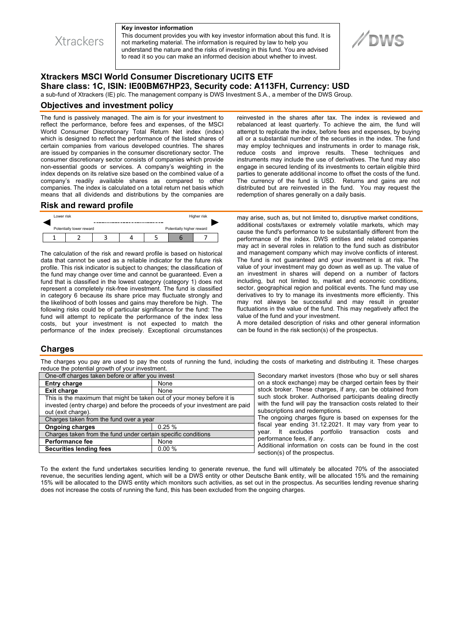

#### **Key investor information**

This document provides you with key investor information about this fund. It is not marketing material. The information is required by law to help you understand the nature and the risks of investing in this fund. You are advised to read it so you can make an informed decision about whether to invest.

# **Xtrackers MSCI World Consumer Discretionary UCITS ETF Share class: 1C, ISIN: IE00BM67HP23, Security code: A113FH, Currency: USD**

a sub-fund of Xtrackers (IE) plc. The management company is DWS Investment S.A., a member of the DWS Group.

### **Objectives and investment policy**

The fund is passively managed. The aim is for your investment to reflect the performance, before fees and expenses, of the MSCI World Consumer Discretionary Total Return Net index (index) which is designed to reflect the performance of the listed shares of certain companies from various developed countries. The shares are issued by companies in the consumer discretionary sector. The consumer discretionary sector consists of companies which provide non-essential goods or services. A company's weighting in the index depends on its relative size based on the combined value of a company's readily available shares as compared to other companies. The index is calculated on a total return net basis which means that all dividends and distributions by the companies are

#### **Risk and reward profile**



The calculation of the risk and reward profile is based on historical data that cannot be used as a reliable indicator for the future risk profile. This risk indicator is subject to changes; the classification of the fund may change over time and cannot be guaranteed. Even a fund that is classified in the lowest category (category 1) does not represent a completely risk-free investment. The fund is classified in category 6 because its share price may fluctuate strongly and the likelihood of both losses and gains may therefore be high. The following risks could be of particular significance for the fund: The fund will attempt to replicate the performance of the index less costs, but your investment is not expected to match the performance of the index precisely. Exceptional circumstances reinvested in the shares after tax. The index is reviewed and rebalanced at least quarterly. To achieve the aim, the fund will attempt to replicate the index, before fees and expenses, by buying all or a substantial number of the securities in the index. The fund may employ techniques and instruments in order to manage risk, reduce costs and improve results. These techniques and instruments may include the use of derivatives. The fund may also engage in secured lending of its investments to certain eligible third parties to generate additional income to offset the costs of the fund. The currency of the fund is USD. Returns and gains are not distributed but are reinvested in the fund. You may request the redemption of shares generally on a daily basis.

may arise, such as, but not limited to, disruptive market conditions, additional costs/taxes or extremely volatile markets, which may cause the fund's performance to be substantially different from the performance of the index. DWS entities and related companies may act in several roles in relation to the fund such as distributor and management company which may involve conflicts of interest. The fund is not guaranteed and your investment is at risk. The value of your investment may go down as well as up. The value of an investment in shares will depend on a number of factors including, but not limited to, market and economic conditions, sector, geographical region and political events. The fund may use derivatives to try to manage its investments more efficiently. This may not always be successful and may result in greater fluctuations in the value of the fund. This may negatively affect the value of the fund and your investment.

A more detailed description of risks and other general information can be found in the risk section(s) of the prospectus.

### **Charges**

The charges you pay are used to pay the costs of running the fund, including the costs of marketing and distributing it. These charges reduce the potential growth of your investment.

| One-off charges taken before or after you invest                                                                                                                            |       |
|-----------------------------------------------------------------------------------------------------------------------------------------------------------------------------|-------|
| <b>Entry charge</b>                                                                                                                                                         | None  |
| <b>Exit charge</b>                                                                                                                                                          | None  |
| This is the maximum that might be taken out of your money before it is<br>invested (entry charge) and before the proceeds of your investment are paid<br>out (exit charge). |       |
| Charges taken from the fund over a year                                                                                                                                     |       |
| <b>Ongoing charges</b>                                                                                                                                                      | 0.25% |
| Charges taken from the fund under certain specific conditions                                                                                                               |       |
| <b>Performance fee</b>                                                                                                                                                      | None  |
| <b>Securities lending fees</b>                                                                                                                                              | 0.00% |

Secondary market investors (those who buy or sell shares on a stock exchange) may be charged certain fees by their stock broker. These charges, if any, can be obtained from such stock broker. Authorised participants dealing directly with the fund will pay the transaction costs related to their subscriptions and redemptions.

The ongoing charges figure is based on expenses for the fiscal year ending 31.12.2021. It may vary from year to year. It excludes portfolio transaction costs and performance fees, if any.

Additional information on costs can be found in the cost section(s) of the prospectus.

To the extent the fund undertakes securities lending to generate revenue, the fund will ultimately be allocated 70% of the associated revenue, the securities lending agent, which will be a DWS entity or other Deutsche Bank entity, will be allocated 15% and the remaining 15% will be allocated to the DWS entity which monitors such activities, as set out in the prospectus. As securities lending revenue sharing does not increase the costs of running the fund, this has been excluded from the ongoing charges.